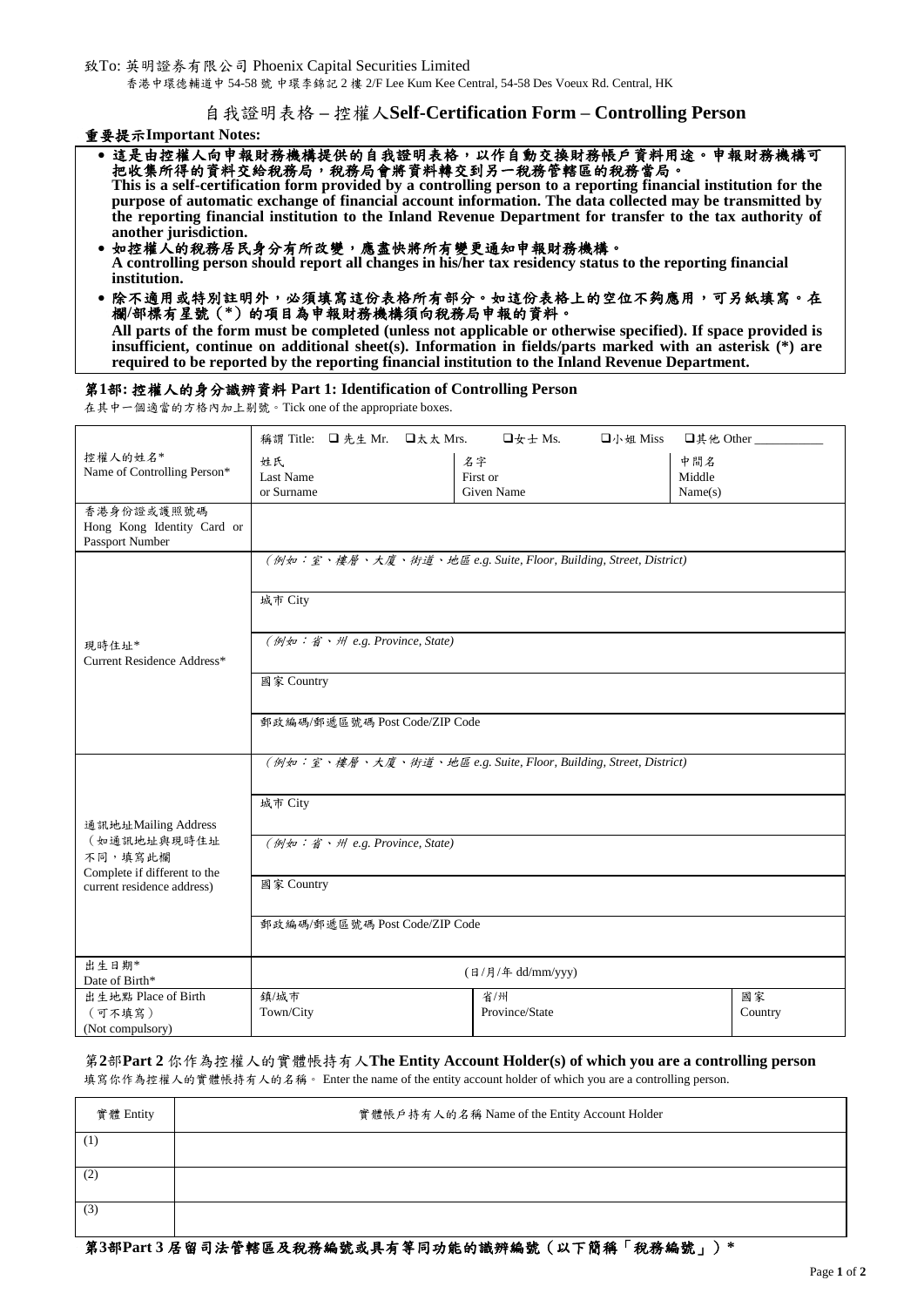致To: 英明證券有限公司 Phoenix Capital Securities Limited

香港中環德輔道中 54-58 號 中環李錦記 2 樓 2/F Lee Kum Kee Central, 54-58 Des Voeux Rd. Central, HK

自我證明表格 **–** 控權人**Self-Certification Form – Controlling Person**

重要提示**Important Notes:** 

| •這是由控權人向申報財務機構提供的自我證明表格,以作自動交換財務帳戶資料用途。申報財務機構可                                                                  |
|-----------------------------------------------------------------------------------------------------------------|
| 把收集所得的資料交给稅務局,稅務局會將資料轉交到另一稅務管轄區的稅務當局。                                                                           |
| This is a self-certification form provided by a controlling person to a reporting financial institution for the |
| purpose of automatic exchange of financial account information. The data collected may be transmitted by        |
| the reporting financial institution to the Inland Revenue Department for transfer to the tax authority of       |
| another jurisdiction.                                                                                           |
|                                                                                                                 |

- 如控權人的稅務居民身分有所改變,應盡快將所有變更通知申報財務機構。 **A controlling person should report all changes in his/her tax residency status to the reporting financial institution.**
- 除不適用或特別註明外,必須填寫這份表格所有部分。如這份表格上的空位不夠應用,可另紙填寫。在 欄**/**部標有星號(**\***)的項目為申報財務機構須向稅務局申報的資料。

**All parts of the form must be completed (unless not applicable or otherwise specified). If space provided is insufficient, continue on additional sheet(s). Information in fields/parts marked with an asterisk (\*) are required to be reported by the reporting financial institution to the Inland Revenue Department.** 

### 第**1**部**:** 控權人的身分識辨資料 **Part 1: Identification of Controlling Person**

在其中一個適當的方格內加上剔號。Tick one of the appropriate boxes.

| 稱謂 Title: □ 先生 Mr. □太太 Mrs.<br>$\Box$ 女士 Ms.<br>$\n  □$ $\wedge$ $\frac{1}{2}$ $\wedge$ $\frac{1}{2}$ $\wedge$ $\frac{1}{2}$ $\wedge$ $\frac{1}{2}$ $\wedge$ $\frac{1}{2}$ $\wedge$ $\frac{1}{2}$ $\wedge$ $\frac{1}{2}$ $\wedge$ $\frac{1}{2}$ $\wedge$ $\frac{1}{2}$ $\wedge$ $\frac{1}{2}$ $\wedge$ $\frac{1}{2}$ $\wedge$ $\frac{1}{2}$ $\wedge$ $\frac{1}{2}$<br>□其他 Other ___<br>控權人的姓名*<br>名字<br>中間名<br>姓氏<br>Name of Controlling Person*<br>First or<br>Middle<br>Last Name<br>or Surname<br>Given Name<br>Name(s)<br>香港身份證或護照號碼<br>Hong Kong Identity Card or<br>Passport Number<br>(例如:室、樓層、大廈、街道、地區 e.g. Suite, Floor, Building, Street, District)<br>城市 City<br>(例如:省、州 e.g. Province, State)<br>現時住址*<br>Current Residence Address*<br>國家 Country<br>郵政編碼/郵遞區號碼 Post Code/ZIP Code<br>(例如:室、樓層、大廈、街道、地區 e.g. Suite, Floor, Building, Street, District)<br>城市 City |                               |  |  |  |  |
|--------------------------------------------------------------------------------------------------------------------------------------------------------------------------------------------------------------------------------------------------------------------------------------------------------------------------------------------------------------------------------------------------------------------------------------------------------------------------------------------------------------------------------------------------------------------------------------------------------------------------------------------------------------------------------------------------------------------------------------------------------------------------------------------------------------------------------------------------------------------------------|-------------------------------|--|--|--|--|
|                                                                                                                                                                                                                                                                                                                                                                                                                                                                                                                                                                                                                                                                                                                                                                                                                                                                                |                               |  |  |  |  |
|                                                                                                                                                                                                                                                                                                                                                                                                                                                                                                                                                                                                                                                                                                                                                                                                                                                                                |                               |  |  |  |  |
|                                                                                                                                                                                                                                                                                                                                                                                                                                                                                                                                                                                                                                                                                                                                                                                                                                                                                |                               |  |  |  |  |
|                                                                                                                                                                                                                                                                                                                                                                                                                                                                                                                                                                                                                                                                                                                                                                                                                                                                                |                               |  |  |  |  |
|                                                                                                                                                                                                                                                                                                                                                                                                                                                                                                                                                                                                                                                                                                                                                                                                                                                                                |                               |  |  |  |  |
|                                                                                                                                                                                                                                                                                                                                                                                                                                                                                                                                                                                                                                                                                                                                                                                                                                                                                |                               |  |  |  |  |
|                                                                                                                                                                                                                                                                                                                                                                                                                                                                                                                                                                                                                                                                                                                                                                                                                                                                                |                               |  |  |  |  |
|                                                                                                                                                                                                                                                                                                                                                                                                                                                                                                                                                                                                                                                                                                                                                                                                                                                                                |                               |  |  |  |  |
|                                                                                                                                                                                                                                                                                                                                                                                                                                                                                                                                                                                                                                                                                                                                                                                                                                                                                |                               |  |  |  |  |
|                                                                                                                                                                                                                                                                                                                                                                                                                                                                                                                                                                                                                                                                                                                                                                                                                                                                                |                               |  |  |  |  |
|                                                                                                                                                                                                                                                                                                                                                                                                                                                                                                                                                                                                                                                                                                                                                                                                                                                                                |                               |  |  |  |  |
|                                                                                                                                                                                                                                                                                                                                                                                                                                                                                                                                                                                                                                                                                                                                                                                                                                                                                |                               |  |  |  |  |
|                                                                                                                                                                                                                                                                                                                                                                                                                                                                                                                                                                                                                                                                                                                                                                                                                                                                                |                               |  |  |  |  |
|                                                                                                                                                                                                                                                                                                                                                                                                                                                                                                                                                                                                                                                                                                                                                                                                                                                                                |                               |  |  |  |  |
|                                                                                                                                                                                                                                                                                                                                                                                                                                                                                                                                                                                                                                                                                                                                                                                                                                                                                |                               |  |  |  |  |
|                                                                                                                                                                                                                                                                                                                                                                                                                                                                                                                                                                                                                                                                                                                                                                                                                                                                                |                               |  |  |  |  |
|                                                                                                                                                                                                                                                                                                                                                                                                                                                                                                                                                                                                                                                                                                                                                                                                                                                                                |                               |  |  |  |  |
|                                                                                                                                                                                                                                                                                                                                                                                                                                                                                                                                                                                                                                                                                                                                                                                                                                                                                |                               |  |  |  |  |
|                                                                                                                                                                                                                                                                                                                                                                                                                                                                                                                                                                                                                                                                                                                                                                                                                                                                                |                               |  |  |  |  |
|                                                                                                                                                                                                                                                                                                                                                                                                                                                                                                                                                                                                                                                                                                                                                                                                                                                                                |                               |  |  |  |  |
| 通訊地址Mailing Address                                                                                                                                                                                                                                                                                                                                                                                                                                                                                                                                                                                                                                                                                                                                                                                                                                                            |                               |  |  |  |  |
| (如通訊地址與現時住址                                                                                                                                                                                                                                                                                                                                                                                                                                                                                                                                                                                                                                                                                                                                                                                                                                                                    | (例如:省、州 e.g. Province, State) |  |  |  |  |
| 不同,填寫此欄<br>Complete if different to the                                                                                                                                                                                                                                                                                                                                                                                                                                                                                                                                                                                                                                                                                                                                                                                                                                        |                               |  |  |  |  |
| 國家 Country<br>current residence address)                                                                                                                                                                                                                                                                                                                                                                                                                                                                                                                                                                                                                                                                                                                                                                                                                                       |                               |  |  |  |  |
|                                                                                                                                                                                                                                                                                                                                                                                                                                                                                                                                                                                                                                                                                                                                                                                                                                                                                |                               |  |  |  |  |
| 郵政編碼/郵遞區號碼 Post Code/ZIP Code                                                                                                                                                                                                                                                                                                                                                                                                                                                                                                                                                                                                                                                                                                                                                                                                                                                  |                               |  |  |  |  |
|                                                                                                                                                                                                                                                                                                                                                                                                                                                                                                                                                                                                                                                                                                                                                                                                                                                                                |                               |  |  |  |  |
| 出生日期*<br>(日/月/年 dd/mm/yyy)                                                                                                                                                                                                                                                                                                                                                                                                                                                                                                                                                                                                                                                                                                                                                                                                                                                     |                               |  |  |  |  |
| Date of Birth*                                                                                                                                                                                                                                                                                                                                                                                                                                                                                                                                                                                                                                                                                                                                                                                                                                                                 |                               |  |  |  |  |
| 出生地點 Place of Birth<br>鎮/城市<br>國家<br>省/州<br>Province/State                                                                                                                                                                                                                                                                                                                                                                                                                                                                                                                                                                                                                                                                                                                                                                                                                     |                               |  |  |  |  |
| Town/City<br>Country<br>(可不填寫)<br>(Not compulsory)                                                                                                                                                                                                                                                                                                                                                                                                                                                                                                                                                                                                                                                                                                                                                                                                                             |                               |  |  |  |  |

# 第**2**部**Part 2** 你作為控權人的實體帳持有人**The Entity Account Holder(s) of which you are a controlling person**  填寫你作為控權人的實體帳持有人的名稱。 Enter the name of the entity account holder of which you are a controlling person.

| 實體 Entity | 實體帳戶持有人的名稱 Name of the Entity Account Holder |
|-----------|----------------------------------------------|
| (1)       |                                              |
| (2)       |                                              |
| (3)       |                                              |

第**3**部**Part 3** 居留司法管轄區及稅務編號或具有等同功能的識辨編號(以下簡稱「稅務編號」)**\***